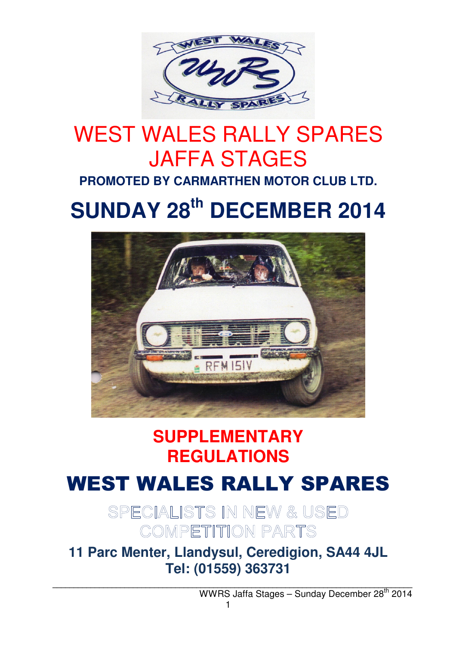

# WEST WALES RALLY SPARES JAFFA STAGES

**PROMOTED BY CARMARTHEN MOTOR CLUB LTD.**

# **SUNDAY 28th DECEMBER 2014**



## **SUPPLEMENTARY REGULATIONS**

## WEST WALES RALLY SPARES

SPECIALISTS IN NEW & USED COMPETITION PARTS

**11 Parc Menter, Llandysul, Ceredigion, SA44 4JL Tel: (01559) 363731**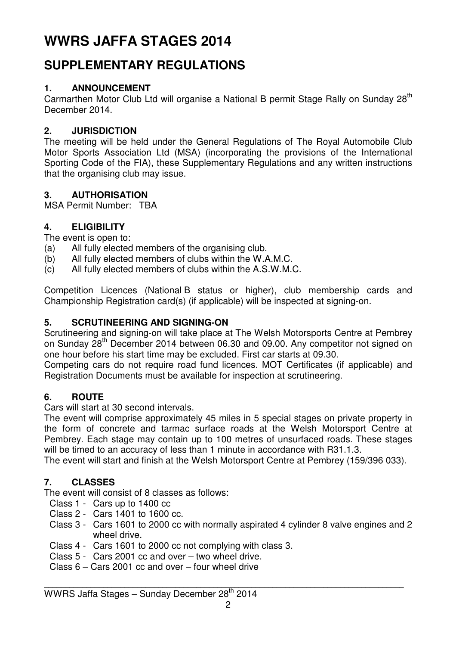### **WWRS JAFFA STAGES 2014**

### **SUPPLEMENTARY REGULATIONS**

#### **1. ANNOUNCEMENT**

Carmarthen Motor Club Ltd will organise a National B permit Stage Rally on Sunday 28<sup>th</sup> December 2014.

#### **2. JURISDICTION**

The meeting will be held under the General Regulations of The Royal Automobile Club Motor Sports Association Ltd (MSA) (incorporating the provisions of the International Sporting Code of the FIA), these Supplementary Regulations and any written instructions that the organising club may issue.

#### **3. AUTHORISATION**

MSA Permit Number: TBA

#### **4. ELIGIBILITY**

The event is open to:

- (a) All fully elected members of the organising club.
- (b) All fully elected members of clubs within the W.A.M.C.
- (c) All fully elected members of clubs within the A.S.W.M.C.

Competition Licences (National B status or higher), club membership cards and Championship Registration card(s) (if applicable) will be inspected at signing-on.

#### **5. SCRUTINEERING AND SIGNING-ON**

Scrutineering and signing-on will take place at The Welsh Motorsports Centre at Pembrey on Sunday 28<sup>th</sup> December 2014 between 06.30 and 09.00. Any competitor not signed on one hour before his start time may be excluded. First car starts at 09.30.

Competing cars do not require road fund licences. MOT Certificates (if applicable) and Registration Documents must be available for inspection at scrutineering.

#### **6. ROUTE**

Cars will start at 30 second intervals.

The event will comprise approximately 45 miles in 5 special stages on private property in the form of concrete and tarmac surface roads at the Welsh Motorsport Centre at Pembrey. Each stage may contain up to 100 metres of unsurfaced roads. These stages will be timed to an accuracy of less than 1 minute in accordance with R31.1.3.

The event will start and finish at the Welsh Motorsport Centre at Pembrey (159/396 033).

#### **7. CLASSES**

The event will consist of 8 classes as follows:

- Class 1 Cars up to 1400 cc
- Class 2 Cars 1401 to 1600 cc.
- Class 3 Cars 1601 to 2000 cc with normally aspirated 4 cylinder 8 valve engines and 2 wheel drive.
- Class 4 Cars 1601 to 2000 cc not complying with class 3.
- Class 5 Cars 2001 cc and over two wheel drive.
- Class 6 Cars 2001 cc and over four wheel drive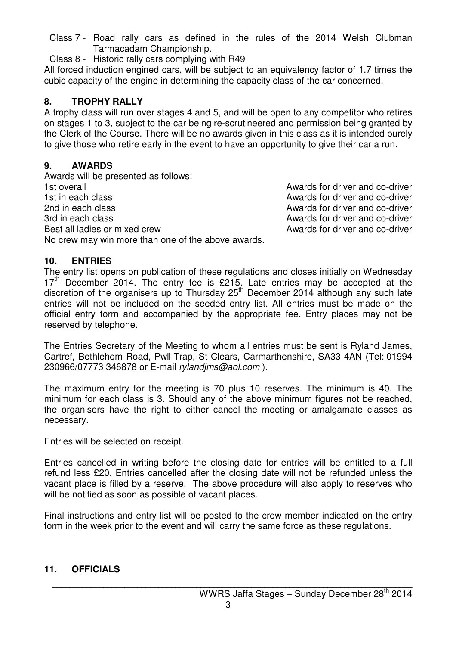Class 7 - Road rally cars as defined in the rules of the 2014 Welsh Clubman Tarmacadam Championship.

Class 8 - Historic rally cars complying with R49

All forced induction engined cars, will be subject to an equivalency factor of 1.7 times the cubic capacity of the engine in determining the capacity class of the car concerned.

#### **8. TROPHY RALLY**

A trophy class will run over stages 4 and 5, and will be open to any competitor who retires on stages 1 to 3, subject to the car being re-scrutineered and permission being granted by the Clerk of the Course. There will be no awards given in this class as it is intended purely to give those who retire early in the event to have an opportunity to give their car a run.

#### **9. AWARDS**

Awards will be presented as follows: 1st overall **1st overall** Awards for driver and co-driver 1st in each class and control of the Awards for driver and co-driver 2nd in each class and co-driver and co-driver and co-driver and co-driver 3rd in each class and computer and conditional and conditional example and conditional example and co-driver Best all ladies or mixed crew Awards for driver and co-driver No crew may win more than one of the above awards.

#### **10. ENTRIES**

The entry list opens on publication of these regulations and closes initially on Wednesday  $17<sup>th</sup>$  December 2014. The entry fee is £215. Late entries may be accepted at the discretion of the organisers up to Thursday 25<sup>th</sup> December 2014 although any such late entries will not be included on the seeded entry list. All entries must be made on the official entry form and accompanied by the appropriate fee. Entry places may not be reserved by telephone.

The Entries Secretary of the Meeting to whom all entries must be sent is Ryland James, Cartref, Bethlehem Road, Pwll Trap, St Clears, Carmarthenshire, SA33 4AN (Tel: 01994 230966/07773 346878 or E-mail rylandjms@aol.com ).

The maximum entry for the meeting is 70 plus 10 reserves. The minimum is 40. The minimum for each class is 3. Should any of the above minimum figures not be reached, the organisers have the right to either cancel the meeting or amalgamate classes as necessary.

Entries will be selected on receipt.

Entries cancelled in writing before the closing date for entries will be entitled to a full refund less £20. Entries cancelled after the closing date will not be refunded unless the vacant place is filled by a reserve. The above procedure will also apply to reserves who will be notified as soon as possible of vacant places.

Final instructions and entry list will be posted to the crew member indicated on the entry form in the week prior to the event and will carry the same force as these regulations.

#### **11. OFFICIALS**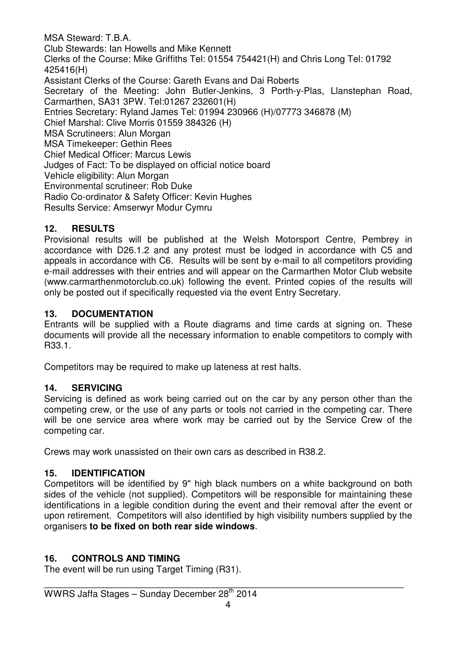MSA Steward: T.B.A. Club Stewards: Ian Howells and Mike Kennett Clerks of the Course: Mike Griffiths Tel: 01554 754421(H) and Chris Long Tel: 01792 425416(H) Assistant Clerks of the Course: Gareth Evans and Dai Roberts Secretary of the Meeting: John Butler-Jenkins, 3 Porth-y-Plas, Llanstephan Road, Carmarthen, SA31 3PW. Tel:01267 232601(H) Entries Secretary: Ryland James Tel: 01994 230966 (H)/07773 346878 (M) Chief Marshal: Clive Morris 01559 384326 (H) MSA Scrutineers: Alun Morgan MSA Timekeeper: Gethin Rees Chief Medical Officer: Marcus Lewis Judges of Fact: To be displayed on official notice board Vehicle eligibility: Alun Morgan Environmental scrutineer: Rob Duke Radio Co-ordinator & Safety Officer: Kevin Hughes Results Service: Amserwyr Modur Cymru

#### **12. RESULTS**

Provisional results will be published at the Welsh Motorsport Centre, Pembrey in accordance with D26.1.2 and any protest must be lodged in accordance with C5 and appeals in accordance with C6. Results will be sent by e-mail to all competitors providing e-mail addresses with their entries and will appear on the Carmarthen Motor Club website (www.carmarthenmotorclub.co.uk) following the event. Printed copies of the results will only be posted out if specifically requested via the event Entry Secretary.

#### **13. DOCUMENTATION**

Entrants will be supplied with a Route diagrams and time cards at signing on. These documents will provide all the necessary information to enable competitors to comply with R33.1.

Competitors may be required to make up lateness at rest halts.

#### **14. SERVICING**

Servicing is defined as work being carried out on the car by any person other than the competing crew, or the use of any parts or tools not carried in the competing car. There will be one service area where work may be carried out by the Service Crew of the competing car.

Crews may work unassisted on their own cars as described in R38.2.

#### **15. IDENTIFICATION**

Competitors will be identified by 9" high black numbers on a white background on both sides of the vehicle (not supplied). Competitors will be responsible for maintaining these identifications in a legible condition during the event and their removal after the event or upon retirement. Competitors will also identified by high visibility numbers supplied by the organisers **to be fixed on both rear side windows**.

#### **16. CONTROLS AND TIMING**

The event will be run using Target Timing (R31).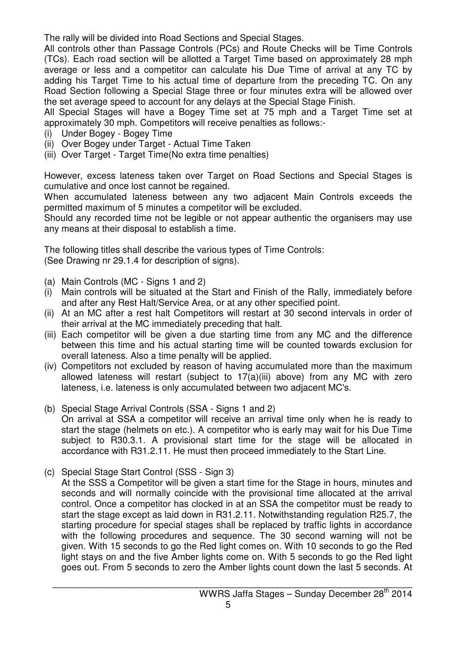The rally will be divided into Road Sections and Special Stages.

All controls other than Passage Controls (PCs) and Route Checks will be Time Controls (TCs). Each road section will be allotted a Target Time based on approximately 28 mph average or less and a competitor can calculate his Due Time of arrival at any TC by adding his Target Time to his actual time of departure from the preceding TC. On any Road Section following a Special Stage three or four minutes extra will be allowed over the set average speed to account for any delays at the Special Stage Finish.

All Special Stages will have a Bogey Time set at 75 mph and a Target Time set at approximately 30 mph. Competitors will receive penalties as follows:-

- (i) Under Bogey Bogey Time
- (ii) Over Bogey under Target Actual Time Taken
- (iii) Over Target Target Time(No extra time penalties)

However, excess lateness taken over Target on Road Sections and Special Stages is cumulative and once lost cannot be regained.

When accumulated lateness between any two adjacent Main Controls exceeds the permitted maximum of 5 minutes a competitor will be excluded.

Should any recorded time not be legible or not appear authentic the organisers may use any means at their disposal to establish a time.

The following titles shall describe the various types of Time Controls:

(See Drawing nr 29.1.4 for description of signs).

- (a) Main Controls (MC Signs 1 and 2)
- (i) Main controls will be situated at the Start and Finish of the Rally, immediately before and after any Rest Halt/Service Area, or at any other specified point.
- (ii) At an MC after a rest halt Competitors will restart at 30 second intervals in order of their arrival at the MC immediately preceding that halt.
- (iii) Each competitor will be given a due starting time from any MC and the difference between this time and his actual starting time will be counted towards exclusion for overall lateness. Also a time penalty will be applied.
- (iv) Competitors not excluded by reason of having accumulated more than the maximum allowed lateness will restart (subject to 17(a)(iii) above) from any MC with zero lateness, i.e. lateness is only accumulated between two adjacent MC's.
- (b) Special Stage Arrival Controls (SSA Signs 1 and 2) On arrival at SSA a competitor will receive an arrival time only when he is ready to start the stage (helmets on etc.). A competitor who is early may wait for his Due Time subject to R30.3.1. A provisional start time for the stage will be allocated in accordance with R31.2.11. He must then proceed immediately to the Start Line.
- (c) Special Stage Start Control (SSS Sign 3)
	- At the SSS a Competitor will be given a start time for the Stage in hours, minutes and seconds and will normally coincide with the provisional time allocated at the arrival control. Once a competitor has clocked in at an SSA the competitor must be ready to start the stage except as laid down in R31.2.11. Notwithstanding regulation R25.7, the starting procedure for special stages shall be replaced by traffic lights in accordance with the following procedures and sequence. The 30 second warning will not be given. With 15 seconds to go the Red light comes on. With 10 seconds to go the Red light stays on and the five Amber lights come on. With 5 seconds to go the Red light goes out. From 5 seconds to zero the Amber lights count down the last 5 seconds. At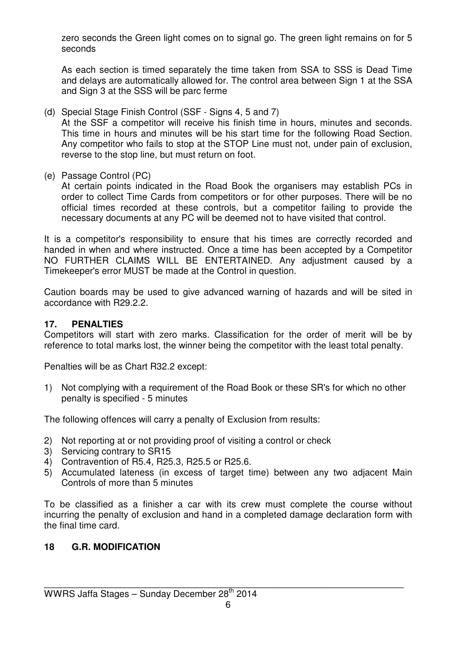zero seconds the Green light comes on to signal go. The green light remains on for 5 seconds

 As each section is timed separately the time taken from SSA to SSS is Dead Time and delays are automatically allowed for. The control area between Sign 1 at the SSA and Sign 3 at the SSS will be parc ferme

(d) Special Stage Finish Control (SSF - Signs 4, 5 and 7)

 At the SSF a competitor will receive his finish time in hours, minutes and seconds. This time in hours and minutes will be his start time for the following Road Section. Any competitor who fails to stop at the STOP Line must not, under pain of exclusion, reverse to the stop line, but must return on foot.

(e) Passage Control (PC)

 At certain points indicated in the Road Book the organisers may establish PCs in order to collect Time Cards from competitors or for other purposes. There will be no official times recorded at these controls, but a competitor failing to provide the necessary documents at any PC will be deemed not to have visited that control.

It is a competitor's responsibility to ensure that his times are correctly recorded and handed in when and where instructed. Once a time has been accepted by a Competitor NO FURTHER CLAIMS WILL BE ENTERTAINED. Any adjustment caused by a Timekeeper's error MUST be made at the Control in question.

Caution boards may be used to give advanced warning of hazards and will be sited in accordance with R29.2.2.

#### **17. PENALTIES**

Competitors will start with zero marks. Classification for the order of merit will be by reference to total marks lost, the winner being the competitor with the least total penalty.

Penalties will be as Chart R32.2 except:

1) Not complying with a requirement of the Road Book or these SR's for which no other penalty is specified - 5 minutes

The following offences will carry a penalty of Exclusion from results:

- 2) Not reporting at or not providing proof of visiting a control or check
- 3) Servicing contrary to SR15
- 4) Contravention of R5.4, R25.3, R25.5 or R25.6.
- 5) Accumulated lateness (in excess of target time) between any two adjacent Main Controls of more than 5 minutes

To be classified as a finisher a car with its crew must complete the course without incurring the penalty of exclusion and hand in a completed damage declaration form with the final time card.

#### **18 G.R. MODIFICATION**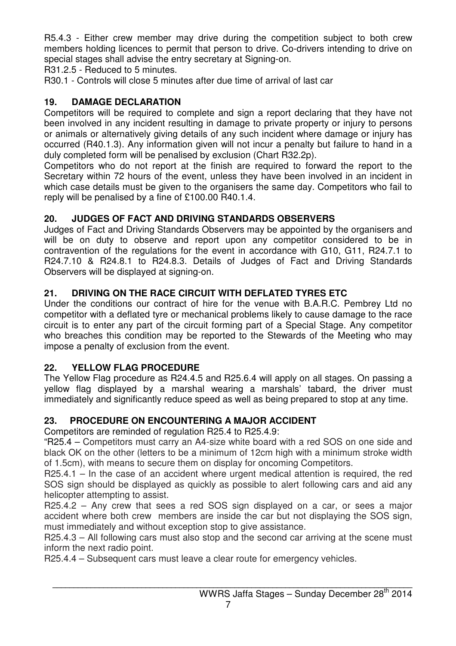R5.4.3 - Either crew member may drive during the competition subject to both crew members holding licences to permit that person to drive. Co-drivers intending to drive on special stages shall advise the entry secretary at Signing-on.

R31.2.5 - Reduced to 5 minutes.

R30.1 - Controls will close 5 minutes after due time of arrival of last car

#### **19. DAMAGE DECLARATION**

Competitors will be required to complete and sign a report declaring that they have not been involved in any incident resulting in damage to private property or injury to persons or animals or alternatively giving details of any such incident where damage or injury has occurred (R40.1.3). Any information given will not incur a penalty but failure to hand in a duly completed form will be penalised by exclusion (Chart R32.2p).

Competitors who do not report at the finish are required to forward the report to the Secretary within 72 hours of the event, unless they have been involved in an incident in which case details must be given to the organisers the same day. Competitors who fail to reply will be penalised by a fine of £100.00 R40.1.4.

#### **20. JUDGES OF FACT AND DRIVING STANDARDS OBSERVERS**

Judges of Fact and Driving Standards Observers may be appointed by the organisers and will be on duty to observe and report upon any competitor considered to be in contravention of the regulations for the event in accordance with G10, G11, R24.7.1 to R24.7.10 & R24.8.1 to R24.8.3. Details of Judges of Fact and Driving Standards Observers will be displayed at signing-on.

#### **21. DRIVING ON THE RACE CIRCUIT WITH DEFLATED TYRES ETC**

Under the conditions our contract of hire for the venue with B.A.R.C. Pembrey Ltd no competitor with a deflated tyre or mechanical problems likely to cause damage to the race circuit is to enter any part of the circuit forming part of a Special Stage. Any competitor who breaches this condition may be reported to the Stewards of the Meeting who may impose a penalty of exclusion from the event.

#### **22. YELLOW FLAG PROCEDURE**

The Yellow Flag procedure as R24.4.5 and R25.6.4 will apply on all stages. On passing a yellow flag displayed by a marshal wearing a marshals' tabard, the driver must immediately and significantly reduce speed as well as being prepared to stop at any time.

#### **23. PROCEDURE ON ENCOUNTERING A MAJOR ACCIDENT**

Competitors are reminded of regulation R25.4 to R25.4.9:

"R25.4 – Competitors must carry an A4-size white board with a red SOS on one side and black OK on the other (letters to be a minimum of 12cm high with a minimum stroke width of 1.5cm), with means to secure them on display for oncoming Competitors.

R25.4.1 – In the case of an accident where urgent medical attention is required, the red SOS sign should be displayed as quickly as possible to alert following cars and aid any helicopter attempting to assist.

R25.4.2 – Any crew that sees a red SOS sign displayed on a car, or sees a major accident where both crew members are inside the car but not displaying the SOS sign, must immediately and without exception stop to give assistance.

R25.4.3 – All following cars must also stop and the second car arriving at the scene must inform the next radio point.

R25.4.4 – Subsequent cars must leave a clear route for emergency vehicles.